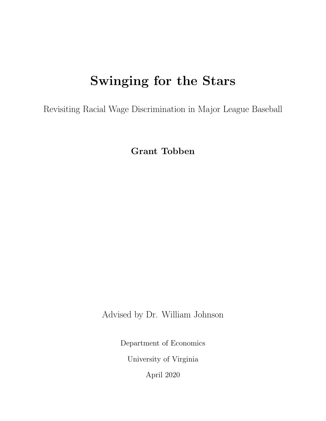# Swinging for the Stars

Revisiting Racial Wage Discrimination in Major League Baseball

Grant Tobben

Advised by Dr. William Johnson

Department of Economics University of Virginia

April 2020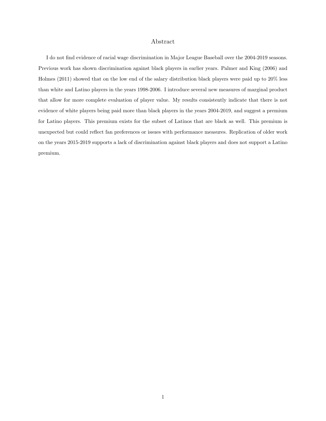#### Abstract

I do not find evidence of racial wage discrimination in Major League Baseball over the 2004-2019 seasons. Previous work has shown discrimination against black players in earlier years. Palmer and King (2006) and Holmes (2011) showed that on the low end of the salary distribution black players were paid up to 20% less than white and Latino players in the years 1998-2006. I introduce several new measures of marginal product that allow for more complete evaluation of player value. My results consistently indicate that there is not evidence of white players being paid more than black players in the years 2004-2019, and suggest a premium for Latino players. This premium exists for the subset of Latinos that are black as well. This premium is unexpected but could reflect fan preferences or issues with performance measures. Replication of older work on the years 2015-2019 supports a lack of discrimination against black players and does not support a Latino premium.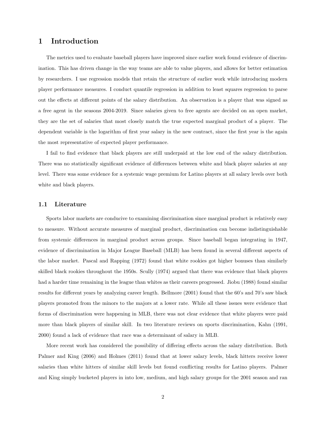## 1 Introduction

The metrics used to evaluate baseball players have improved since earlier work found evidence of discrimination. This has driven change in the way teams are able to value players, and allows for better estimation by researchers. I use regression models that retain the structure of earlier work while introducing modern player performance measures. I conduct quantile regression in addition to least squares regression to parse out the effects at different points of the salary distribution. An observation is a player that was signed as a free agent in the seasons 2004-2019. Since salaries given to free agents are decided on an open market, they are the set of salaries that most closely match the true expected marginal product of a player. The dependent variable is the logarithm of first year salary in the new contract, since the first year is the again the most representative of expected player performance.

I fail to find evidence that black players are still underpaid at the low end of the salary distribution. There was no statistically significant evidence of differences between white and black player salaries at any level. There was some evidence for a systemic wage premium for Latino players at all salary levels over both white and black players.

#### 1.1 Literature

Sports labor markets are conducive to examining discrimination since marginal product is relatively easy to measure. Without accurate measures of marginal product, discrimination can become indistinguishable from systemic differences in marginal product across groups. Since baseball began integrating in 1947, evidence of discrimination in Major League Baseball (MLB) has been found in several different aspects of the labor market. Pascal and Rapping (1972) found that white rookies got higher bonuses than similarly skilled black rookies throughout the 1950s. Scully (1974) argued that there was evidence that black players had a harder time remaining in the league than whites as their careers progressed. Jiobu (1988) found similar results for different years by analyzing career length. Bellmore (2001) found that the 60's and 70's saw black players promoted from the minors to the majors at a lower rate. While all these issues were evidence that forms of discrimination were happening in MLB, there was not clear evidence that white players were paid more than black players of similar skill. In two literature reviews on sports discrimination, Kahn (1991, 2000) found a lack of evidence that race was a determinant of salary in MLB.

More recent work has considered the possibility of differing effects across the salary distribution. Both Palmer and King (2006) and Holmes (2011) found that at lower salary levels, black hitters receive lower salaries than white hitters of similar skill levels but found conflicting results for Latino players. Palmer and King simply bucketed players in into low, medium, and high salary groups for the 2001 season and ran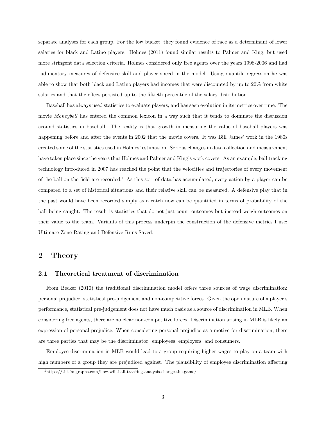separate analyses for each group. For the low bucket, they found evidence of race as a determinant of lower salaries for black and Latino players. Holmes (2011) found similar results to Palmer and King, but used more stringent data selection criteria. Holmes considered only free agents over the years 1998-2006 and had rudimentary measures of defensive skill and player speed in the model. Using quantile regression he was able to show that both black and Latino players had incomes that were discounted by up to 20% from white salaries and that the effect persisted up to the fiftieth percentile of the salary distribution.

Baseball has always used statistics to evaluate players, and has seen evolution in its metrics over time. The movie *Moneyball* has entered the common lexicon in a way such that it tends to dominate the discussion around statistics in baseball. The reality is that growth in measuring the value of baseball players was happening before and after the events in 2002 that the movie covers. It was Bill James' work in the 1980s created some of the statistics used in Holmes' estimation. Serious changes in data collection and measurement have taken place since the years that Holmes and Palmer and King's work covers. As an example, ball tracking technology introduced in 2007 has reached the point that the velocities and trajectories of every movement of the ball on the field are recorded.<sup>1</sup> As this sort of data has accumulated, every action by a player can be compared to a set of historical situations and their relative skill can be measured. A defensive play that in the past would have been recorded simply as a catch now can be quantified in terms of probability of the ball being caught. The result is statistics that do not just count outcomes but instead weigh outcomes on their value to the team. Variants of this process underpin the construction of the defensive metrics I use: Ultimate Zone Rating and Defensive Runs Saved.

## 2 Theory

#### 2.1 Theoretical treatment of discrimination

From Becker (2010) the traditional discrimination model offers three sources of wage discrimination: personal prejudice, statistical pre-judgement and non-competitive forces. Given the open nature of a player's performance, statistical pre-judgement does not have much basis as a source of discrimination in MLB. When considering free agents, there are no clear non-competitive forces. Discrimination arising in MLB is likely an expression of personal prejudice. When considering personal prejudice as a motive for discrimination, there are three parties that may be the discriminator: employees, employers, and consumers.

Employee discrimination in MLB would lead to a group requiring higher wages to play on a team with high numbers of a group they are prejudiced against. The plausibility of employee discrimination affecting

<sup>1</sup>https://tht.fangraphs.com/how-will-ball-tracking-analysis-change-the-game/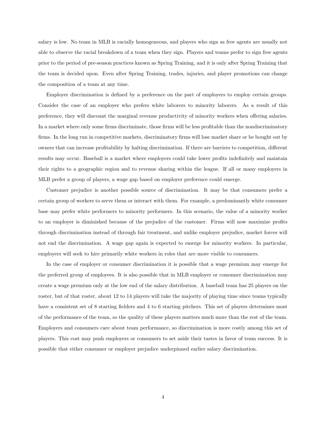salary is low. No team in MLB is racially homogeneous, and players who sign as free agents are usually not able to observe the racial breakdown of a team when they sign. Players and teams prefer to sign free agents prior to the period of pre-season practices known as Spring Training, and it is only after Spring Training that the team is decided upon. Even after Spring Training, trades, injuries, and player promotions can change the composition of a team at any time.

Employer discrimination is defined by a preference on the part of employers to employ certain groups. Consider the case of an employer who prefers white laborers to minority laborers. As a result of this preference, they will discount the marginal revenue productivity of minority workers when offering salaries. In a market where only some firms discriminate, those firms will be less profitable than the nondiscriminatory firms. In the long run in competitive markets, discriminatory firms will lose market share or be bought out by owners that can increase profitability by halting discrimination. If there are barriers to competition, different results may occur. Baseball is a market where employers could take lower profits indefinitely and maintain their rights to a geographic region and to revenue sharing within the league. If all or many employers in MLB prefer a group of players, a wage gap based on employer preference could emerge.

Customer prejudice is another possible source of discrimination. It may be that consumers prefer a certain group of workers to serve them or interact with them. For example, a predominantly white consumer base may prefer white performers to minority performers. In this scenario, the value of a minority worker to an employer is diminished because of the prejudice of the customer. Firms will now maximize profits through discrimination instead of through fair treatment, and unlike employer prejudice, market forces will not end the discrimination. A wage gap again is expected to emerge for minority workers. In particular, employers will seek to hire primarily white workers in roles that are more visible to consumers.

In the case of employer or consumer discrimination it is possible that a wage premium may emerge for the preferred group of employees. It is also possible that in MLB employer or consumer discrimination may create a wage premium only at the low end of the salary distribution. A baseball team has 25 players on the roster, but of that roster, about 12 to 14 players will take the majority of playing time since teams typically have a consistent set of 8 starting fielders and 4 to 6 starting pitchers. This set of players determines most of the performance of the team, so the quality of these players matters much more than the rest of the team. Employers and consumers care about team performance, so discrimination is more costly among this set of players. This cost may push employers or consumers to set aside their tastes in favor of team success. It is possible that either consumer or employer prejudice underpinned earlier salary discrimination.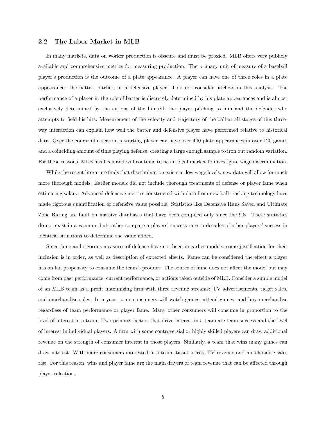#### 2.2 The Labor Market in MLB

In many markets, data on worker production is obscure and must be proxied. MLB offers very publicly available and comprehensive metrics for measuring production. The primary unit of measure of a baseball player's production is the outcome of a plate appearance. A player can have one of three roles in a plate appearance: the batter, pitcher, or a defensive player. I do not consider pitchers in this analysis. The performance of a player in the role of batter is discretely determined by his plate appearances and is almost exclusively determined by the actions of the himself, the player pitching to him and the defender who attempts to field his hits. Measurement of the velocity and trajectory of the ball at all stages of this threeway interaction can explain how well the batter and defensive player have performed relative to historical data. Over the course of a season, a starting player can have over 400 plate appearances in over 120 games and a coinciding amount of time playing defense, creating a large enough sample to iron out random variation. For these reasons, MLB has been and will continue to be an ideal market to investigate wage discrimination.

While the recent literature finds that discrimination exists at low wage levels, new data will allow for much more thorough models. Earlier models did not include thorough treatments of defense or player fame when estimating salary. Advanced defensive metrics constructed with data from new ball tracking technology have made rigorous quantification of defensive value possible. Statistics like Defensive Runs Saved and Ultimate Zone Rating are built on massive databases that have been compiled only since the 90s. These statistics do not exist in a vacuum, but rather compare a players' success rate to decades of other players' success in identical situations to determine the value added.

Since fame and rigorous measures of defense have not been in earlier models, some justification for their inclusion is in order, as well as description of expected effects. Fame can be considered the effect a player has on fan propensity to consume the team's product. The source of fame does not affect the model but may come from past performance, current performance, or actions taken outside of MLB. Consider a simple model of an MLB team as a profit maximizing firm with three revenue streams: TV advertisements, ticket sales, and merchandise sales. In a year, some consumers will watch games, attend games, and buy merchandise regardless of team performance or player fame. Many other consumers will consume in proportion to the level of interest in a team. Two primary factors that drive interest in a team are team success and the level of interest in individual players. A firm with some controversial or highly skilled players can draw additional revenue on the strength of consumer interest in those players. Similarly, a team that wins many games can draw interest. With more consumers interested in a team, ticket prices, TV revenue and merchandise sales rise. For this reason, wins and player fame are the main drivers of team revenue that can be affected through player selection.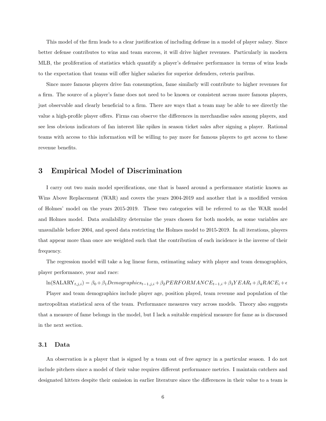This model of the firm leads to a clear justification of including defense in a model of player salary. Since better defense contributes to wins and team success, it will drive higher revenues. Particularly in modern MLB, the proliferation of statistics which quantify a player's defensive performance in terms of wins leads to the expectation that teams will offer higher salaries for superior defenders, ceteris paribus.

Since more famous players drive fan consumption, fame similarly will contribute to higher revenues for a firm. The source of a player's fame does not need to be known or consistent across more famous players, just observable and clearly beneficial to a firm. There are ways that a team may be able to see directly the value a high-profile player offers. Firms can observe the differences in merchandise sales among players, and see less obvious indicators of fan interest like spikes in season ticket sales after signing a player. Rational teams with access to this information will be willing to pay more for famous players to get access to these revenue benefits.

### 3 Empirical Model of Discrimination

I carry out two main model specifications, one that is based around a performance statistic known as Wins Above Replacement (WAR) and covers the years 2004-2019 and another that is a modified version of Holmes' model on the years 2015-2019. These two categories will be referred to as the WAR model and Holmes model. Data availability determine the years chosen for both models, as some variables are unavailable before 2004, and speed data restricting the Holmes model to 2015-2019. In all iterations, players that appear more than once are weighted such that the contribution of each incidence is the inverse of their frequency.

The regression model will take a log linear form, estimating salary with player and team demographics, player performance, year and race:

 $\ln(\text{SALARY}_{t,j,i}) = \beta_0 + \beta_1 Demographics_{t-1,j,i} + \beta_2 PERFORMANCE_{t-1,i} + \beta_3 YEAR_t + \beta_4 RACE_i + \epsilon_1 B.$ 

Player and team demographics include player age, position played, team revenue and population of the metropolitan statistical area of the team. Performance measures vary across models. Theory also suggests that a measure of fame belongs in the model, but I lack a suitable empirical measure for fame as is discussed in the next section.

#### 3.1 Data

An observation is a player that is signed by a team out of free agency in a particular season. I do not include pitchers since a model of their value requires different performance metrics. I maintain catchers and designated hitters despite their omission in earlier literature since the differences in their value to a team is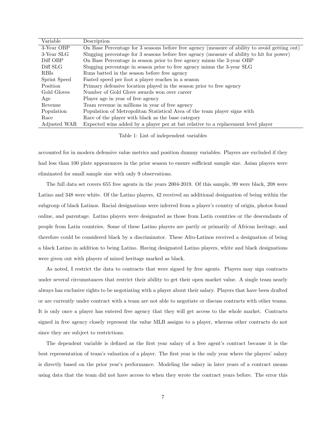| Variable     | Description                                                                                   |
|--------------|-----------------------------------------------------------------------------------------------|
| 3-Year OBP   | On Base Percentage for 3 seasons before free agency (measure of ability to avoid getting out) |
| 3-Year SLG   | Slugging percentage for 3 seasons before free agency (measure of ability to hit for power)    |
| Diff OBP     | On Base Percentage in season prior to free agency minus the 3-year OBP                        |
| Diff SLG     | Slugging percentage in season prior to free agency minus the 3-year SLG                       |
| RBIs         | Runs batted in the season before free agency                                                  |
| Sprint Speed | Fasted speed per foot a player reaches in a season                                            |
| Position     | Primary defensive location played in the season prior to free agency                          |
| Gold Gloves  | Number of Gold Glove awards won over career                                                   |
| Age          | Player age in year of free agency                                                             |
| Revenue      | Team revenue in millions in year of free agency                                               |
| Population   | Population of Metropolitan Statistical Area of the team player signs with                     |
| Race         | Race of the player with black as the base category                                            |
| Adjusted WAR | Expected wins added by a player per at bat relative to a replacement level player             |

Table 1: List of independent variables

accounted for in modern defensive value metrics and position dummy variables. Players are excluded if they had less than 100 plate appearances in the prior season to ensure sufficient sample size. Asian players were eliminated for small sample size with only 9 observations.

The full data set covers 655 free agents in the years 2004-2019. Of this sample, 99 were black, 208 were Latino and 348 were white. Of the Latino players, 42 received an additional designation of being within the subgroup of black Latinos. Racial designations were inferred from a player's country of origin, photos found online, and parentage. Latino players were designated as those from Latin countries or the descendants of people from Latin countries. Some of these Latino players are partly or primarily of African heritage, and therefore could be considered black by a discriminator. These Afro-Latinos received a designation of being a black Latino in addition to being Latino. Having designated Latino players, white and black designations were given out with players of mixed heritage marked as black.

As noted, I restrict the data to contracts that were signed by free agents. Players may sign contracts under several circumstances that restrict their ability to get their open market value. A single team nearly always has exclusive rights to be negotiating with a player about their salary. Players that have been drafted or are currently under contract with a team are not able to negotiate or discuss contracts with other teams. It is only once a player has entered free agency that they will get access to the whole market. Contracts signed in free agency closely represent the value MLB assigns to a player, whereas other contracts do not since they are subject to restrictions.

The dependent variable is defined as the first year salary of a free agent's contract because it is the best representation of team's valuation of a player. The first year is the only year where the players' salary is directly based on the prior year's performance. Modeling the salary in later years of a contract means using data that the team did not have access to when they wrote the contract years before. The error this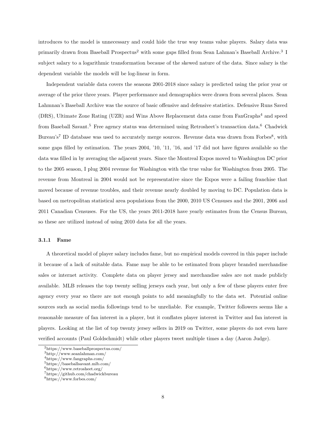introduces to the model is unnecessary and could hide the true way teams value players. Salary data was primarily drawn from Baseball Prospectus<sup>2</sup> with some gaps filled from Sean Lahman's Baseball Archive.<sup>3</sup> I subject salary to a logarithmic transformation because of the skewed nature of the data. Since salary is the dependent variable the models will be log-linear in form.

Independent variable data covers the seasons 2001-2018 since salary is predicted using the prior year or average of the prior three years. Player performance and demographics were drawn from several places. Sean Lahmnan's Baseball Archive was the source of basic offensive and defensive statistics. Defensive Runs Saved (DRS), Ultimate Zone Rating (UZR) and Wins Above Replacement data came from FanGraphs<sup>4</sup> and speed from Baseball Savant.<sup>5</sup> Free agency status was determined using Retrosheet's transaction data.<sup>6</sup> Chadwick Bureau's<sup>7</sup> ID database was used to accurately merge sources. Revenue data was drawn from Forbes<sup>8</sup>, with some gaps filled by estimation. The years 2004, '10, '11, '16, and '17 did not have figures available so the data was filled in by averaging the adjacent years. Since the Montreal Expos moved to Washington DC prior to the 2005 season, I plug 2004 revenue for Washington with the true value for Washington from 2005. The revenue from Montreal in 2004 would not be representative since the Expos were a failing franchise that moved because of revenue troubles, and their revenue nearly doubled by moving to DC. Population data is based on metropolitan statistical area populations from the 2000, 2010 US Censuses and the 2001, 2006 and 2011 Canadian Censuses. For the US, the years 2011-2018 have yearly estimates from the Census Bureau, so these are utilized instead of using 2010 data for all the years.

#### 3.1.1 Fame

A theoretical model of player salary includes fame, but no empirical models covered in this paper include it because of a lack of suitable data. Fame may be able to be estimated from player branded merchandise sales or internet activity. Complete data on player jersey and merchandise sales are not made publicly available. MLB releases the top twenty selling jerseys each year, but only a few of these players enter free agency every year so there are not enough points to add meaningfully to the data set. Potential online sources such as social media followings tend to be unreliable. For example, Twitter followers seems like a reasonable measure of fan interest in a player, but it conflates player interest in Twitter and fan interest in players. Looking at the list of top twenty jersey sellers in 2019 on Twitter, some players do not even have verified accounts (Paul Goldschmidt) while other players tweet multiple times a day (Aaron Judge).

<sup>2</sup>https://www.baseballprospectus.com/

 $^3$ http://www.seanlahman.com/

<sup>4</sup>https://www.fangraphs.com/

<sup>5</sup>https://baseballsavant.mlb.com/

<sup>6</sup>https://www.retrosheet.org/

<sup>7</sup>https://github.com/chadwickbureau

<sup>8</sup>https://www.forbes.com/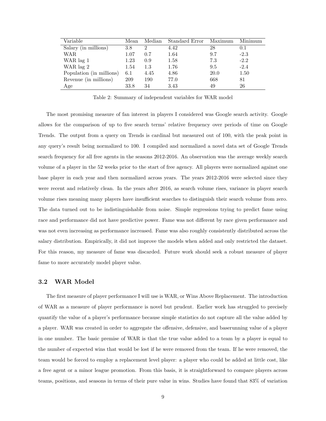| Variable                 | Mean | Median        | Standard Error | Maximum | Minimum |
|--------------------------|------|---------------|----------------|---------|---------|
| Salary (in millions)     | 3.8  | $\mathcal{D}$ | 4.42           | 28      | 0.1     |
| WAR                      | 1.07 | 0.7           | 1.64           | 9.7     | $-2.3$  |
| WAR lag 1                | 1.23 | 0.9           | 1.58           | 7.3     | $-2.2$  |
| WAR lag 2                | 1.54 | $1.3\,$       | 1.76           | 9.5     | $-2.4$  |
| Population (in millions) | 6.1  | 4.45          | 4.86           | 20.0    | 1.50    |
| Revenue (in millions)    | 209  | 190           | 77.0           | 668     | 81      |
| Age                      | 33.8 | 34            | 3.43           | 49      | 26      |

Table 2: Summary of independent variables for WAR model

The most promising measure of fan interest in players I considered was Google search activity. Google allows for the comparison of up to five search terms' relative frequency over periods of time on Google Trends. The output from a query on Trends is cardinal but measured out of 100, with the peak point in any query's result being normalized to 100. I compiled and normalized a novel data set of Google Trends search frequency for all free agents in the seasons 2012-2016. An observation was the average weekly search volume of a player in the 52 weeks prior to the start of free agency. All players were normalized against one base player in each year and then normalized across years. The years 2012-2016 were selected since they were recent and relatively clean. In the years after 2016, as search volume rises, variance in player search volume rises meaning many players have insufficient searches to distinguish their search volume from zero. The data turned out to be indistinguishable from noise. Simple regressions trying to predict fame using race and performance did not have predictive power. Fame was not different by race given performance and was not even increasing as performance increased. Fame was also roughly consistently distributed across the salary distribution. Empirically, it did not improve the models when added and only restricted the dataset. For this reason, my measure of fame was discarded. Future work should seek a robust measure of player fame to more accurately model player value.

#### 3.2 WAR Model

The first measure of player performance I will use is WAR, or Wins Above Replacement. The introduction of WAR as a measure of player performance is novel but prudent. Earlier work has struggled to precisely quantify the value of a player's performance because simple statistics do not capture all the value added by a player. WAR was created in order to aggregate the offensive, defensive, and baserunning value of a player in one number. The basic premise of WAR is that the true value added to a team by a player is equal to the number of expected wins that would be lost if he were removed from the team. If he were removed, the team would be forced to employ a replacement level player: a player who could be added at little cost, like a free agent or a minor league promotion. From this basis, it is straightforward to compare players across teams, positions, and seasons in terms of their pure value in wins. Studies have found that 83% of variation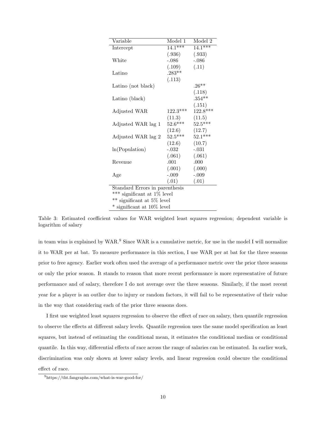| Variable                       | Model 1    | Model 2    |  |  |
|--------------------------------|------------|------------|--|--|
| Intercept                      | $14.1***$  | $14.1***$  |  |  |
|                                | (.936)     | (.933)     |  |  |
| White                          | $-.086$    | $-.086$    |  |  |
|                                | (.109)     | (.11)      |  |  |
| Latino                         | $.283**$   |            |  |  |
|                                | (.113)     |            |  |  |
| Latino (not black)             |            | $.26**$    |  |  |
|                                |            | (.118)     |  |  |
| Latino (black)                 |            | $.354**$   |  |  |
|                                |            | (.151)     |  |  |
| Adjusted WAR                   | $122.3***$ | $122.8***$ |  |  |
|                                | (11.3)     | (11.5)     |  |  |
| Adjusted WAR lag 1             | $52.6***$  | $52.5***$  |  |  |
|                                | (12.6)     | (12.7)     |  |  |
| Adjusted WAR lag 2             | $52.5***$  | $52.1***$  |  |  |
|                                | (12.6)     | (10.7)     |  |  |
| ln(Population)                 | $-.032$    | $-.031$    |  |  |
|                                | (.061)     | (.061)     |  |  |
| Revenue                        | .001       | .000       |  |  |
|                                | (.001)     | (.000)     |  |  |
| Age                            | $-.009$    | $-.009$    |  |  |
|                                | (.01)      | (.01)      |  |  |
| Standard Errors in parenthesis |            |            |  |  |
| *** significant at $1\%$ level |            |            |  |  |
| ** significant at 5% level     |            |            |  |  |
| * significant at 10% level     |            |            |  |  |

Table 3: Estimated coefficient values for WAR weighted least squares regression; dependent variable is logarithm of salary

in team wins is explained by WAR.<sup>9</sup> Since WAR is a cumulative metric, for use in the model I will normalize it to WAR per at bat. To measure performance in this section, I use WAR per at bat for the three seasons prior to free agency. Earlier work often used the average of a performance metric over the prior three seasons or only the prior season. It stands to reason that more recent performance is more representative of future performance and of salary, therefore I do not average over the three seasons. Similarly, if the most recent year for a player is an outlier due to injury or random factors, it will fail to be representative of their value in the way that considering each of the prior three seasons does.

I first use weighted least squares regression to observe the effect of race on salary, then quantile regression to observe the effects at different salary levels. Quantile regression uses the same model specification as least squares, but instead of estimating the conditional mean, it estimates the conditional median or conditional quantile. In this way, differential effects of race across the range of salaries can be estimated. In earlier work, discrimination was only shown at lower salary levels, and linear regression could obscure the conditional effect of race.

<sup>9</sup>https://tht.fangraphs.com/what-is-war-good-for/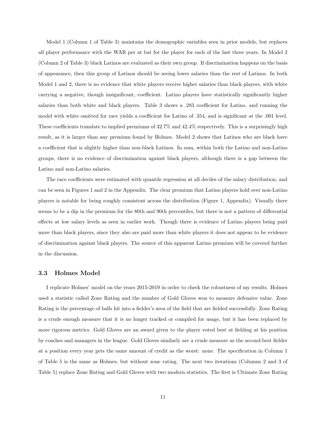Model 1 (Column 1 of Table 3) maintains the demographic variables seen in prior models, but replaces all player performance with the WAR per at bat for the player for each of the last three years. In Model 2 (Column 2 of Table 3) black Latinos are evaluated as their own group. If discrimination happens on the basis of appearance, then this group of Latinos should be seeing lower salaries than the rest of Latinos. In both Model 1 and 2, there is no evidence that white players receive higher salaries than black players, with white carrying a negative, though insignificant, coefficient. Latino players have statistically significantly higher salaries than both white and black players. Table 3 shows a .283 coefficient for Latino, and running the model with white omitted for race yields a coefficient for Latino of .354, and is significant at the .001 level. These coefficients translate to implied premiums of 32.7% and 42.4% respectively. This is a surprisingly high result, as it is larger than any premium found by Holmes. Model 2 shows that Latinos who are black have a coefficient that is slightly higher than non-black Latinos. In sum, within both the Latino and non-Latino groups, there is no evidence of discrimination against black players, although there is a gap between the Latino and non-Latino salaries.

The race coefficients were estimated with quantile regression at all deciles of the salary distribution, and can be seen in Figures 1 and 2 in the Appendix. The clear premium that Latino players hold over non-Latino players is notable for being roughly consistent across the distribution (Figure 1, Appendix). Visually there seems to be a dip in the premium for the 80th and 90th percentiles, but there is not a pattern of differential effects at low salary levels as seen in earlier work. Though there is evidence of Latino players being paid more than black players, since they also are paid more than white players it does not appear to be evidence of discrimination against black players. The source of this apparent Latino premium will be covered further in the discussion.

#### 3.3 Holmes Model

I replicate Holmes' model on the years 2015-2019 in order to check the robustness of my results. Holmes used a statistic called Zone Rating and the number of Gold Gloves won to measure defensive value. Zone Rating is the percentage of balls hit into a fielder's area of the field that are fielded successfully. Zone Rating is a crude enough measure that it is no longer tracked or compiled for usage, but it has been replaced by more rigorous metrics. Gold Gloves are an award given to the player voted best at fielding at his position by coaches and managers in the league. Gold Gloves similarly are a crude measure as the second-best fielder at a position every year gets the same amount of credit as the worst: none. The specification in Column 1 of Table 5 is the same as Holmes, but without zone rating. The next two iterations (Columns 2 and 3 of Table 5) replace Zone Rating and Gold Gloves with two modern statistics. The first is Ultimate Zone Rating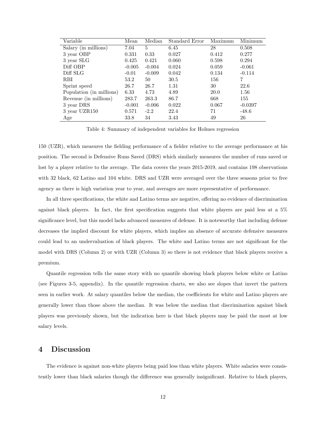| Variable                 | Mean     | Median         | Standard Error | Maximum | Minimum   |
|--------------------------|----------|----------------|----------------|---------|-----------|
| Salary (in millions)     | 7.04     | $\overline{5}$ | 6.45           | 28      | 0.508     |
| 3 year OBP               | 0.331    | 0.33           | 0.027          | 0.412   | 0.277     |
| 3 year SLG               | 0.425    | 0.421          | 0.060          | 0.598   | 0.294     |
| Diff OBP                 | $-0.005$ | $-0.004$       | 0.024          | 0.059   | $-0.061$  |
| Diff SLG                 | $-0.01$  | $-0.009$       | 0.042          | 0.134   | $-0.114$  |
| RBI                      | 53.2     | 50             | 30.5           | 156     | 7         |
| Sprint speed             | 26.7     | 26.7           | 1.31           | 30      | 22.6      |
| Population (in millions) | 6.33     | 4.73           | 4.89           | 20.0    | 1.56      |
| Revenue (in millions)    | 283.7    | 263.3          | 86.7           | 668     | 155       |
| 3 year DRS               | $-0.001$ | $-0.006$       | 0.022          | 0.067   | $-0.0397$ |
| 3 year UZR150            | 0.571    | $-2.2$         | 22.4           | 71      | $-48.6$   |
| Age                      | 33.8     | 34             | 3.43           | 49      | 26        |

Table 4: Summary of independent variables for Holmes regression

150 (UZR), which measures the fielding performance of a fielder relative to the average performance at his position. The second is Defensive Runs Saved (DRS) which similarly measures the number of runs saved or lost by a player relative to the average. The data covers the years 2015-2019, and contains 198 observations with 32 black, 62 Latino and 104 white. DRS and UZR were averaged over the three seasons prior to free agency as there is high variation year to year, and averages are more representative of performance.

In all three specifications, the white and Latino terms are negative, offering no evidence of discrimination against black players. In fact, the first specification suggests that white players are paid less at a 5% significance level, but this model lacks advanced measures of defense. It is noteworthy that including defense decreases the implied discount for white players, which implies an absence of accurate defensive measures could lead to an undervaluation of black players. The white and Latino terms are not significant for the model with DRS (Column 2) or with UZR (Column 3) so there is not evidence that black players receive a premium.

Quantile regression tells the same story with no quantile showing black players below white or Latino (see Figures 3-5, appendix). In the quantile regression charts, we also see slopes that invert the pattern seen in earlier work. At salary quantiles below the median, the coefficients for white and Latino players are generally lower than those above the median. It was below the median that discrimination against black players was previously shown, but the indication here is that black players may be paid the most at low salary levels.

### 4 Discussion

The evidence is against non-white players being paid less than white players. White salaries were consistently lower than black salaries though the difference was generally insignificant. Relative to black players,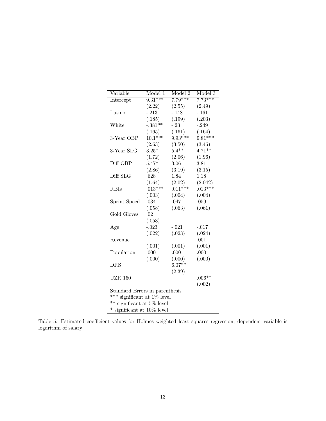| Variable                       | Model 1   | Model <sub>2</sub> | Model 3   |  |  |
|--------------------------------|-----------|--------------------|-----------|--|--|
| Intercept                      | $9.31***$ | $7.79***$          | $7.73***$ |  |  |
|                                | (2.22)    | (2.55)             | (2.49)    |  |  |
| Latino                         | $-.213$   | $-.148$            | $-.161$   |  |  |
|                                | (.185)    | (.199)             | (.203)    |  |  |
| White                          | $-.381**$ | $-0.23$            | $-.249$   |  |  |
|                                | (.165)    | (.161)             | (.164)    |  |  |
| 3-Year OBP                     | $10.1***$ | $9.93***$          | $9.81***$ |  |  |
|                                | (2.63)    | (3.50)             | (3.46)    |  |  |
| 3-Year SLG                     | $3.25*$   | $5.4***$           | $4.71***$ |  |  |
|                                | (1.72)    | (2.06)             | (1.96)    |  |  |
| Diff OBP                       | $5.47*$   | 3.06               | 3.81      |  |  |
|                                | (2.86)    | (3.19)             | (3.15)    |  |  |
| Diff SLG                       | .628      | 1.84               | 1.18      |  |  |
|                                | (1.64)    | (2.02)             | (2.042)   |  |  |
| <b>RBIs</b>                    | $.013***$ | $.011***$          | $.013***$ |  |  |
|                                | (.003)    | (.004)             | (.004)    |  |  |
| Sprint Speed                   | .034      | .047               | .059      |  |  |
|                                | (.058)    | (.063)             | (.061)    |  |  |
| Gold Gloves                    | .02       |                    |           |  |  |
|                                | (.053)    |                    |           |  |  |
| Age                            | $-.023$   | $-.021$            | $-.017$   |  |  |
|                                | (.022)    | (.023)             | (.024)    |  |  |
| Revenue                        |           |                    | .001      |  |  |
|                                | (.001)    | (.001)             | (.001)    |  |  |
| Population                     | .000      | .000               | .000      |  |  |
|                                | (.000)    | (.000)             | (.000)    |  |  |
| <b>DRS</b>                     |           | $6.07**$           |           |  |  |
|                                |           | (2.39)             |           |  |  |
| <b>UZR 150</b>                 |           |                    | $.006**$  |  |  |
|                                |           |                    | (.002)    |  |  |
| Standard Errors in parenthesis |           |                    |           |  |  |
| ***<br>significant at 1% level |           |                    |           |  |  |
| ** significant at 5% level     |           |                    |           |  |  |
| $*$ significant at 10\% level  |           |                    |           |  |  |

Table 5: Estimated coefficient values for Holmes weighted least squares regression; dependent variable is logarithm of salary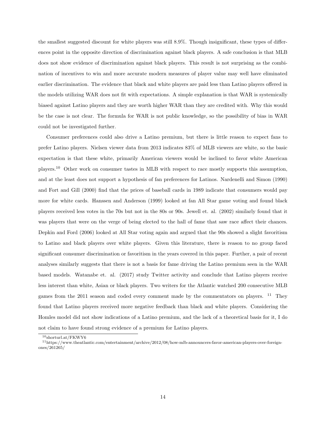the smallest suggested discount for white players was still 8.9%. Though insignificant, these types of differences point in the opposite direction of discrimination against black players. A safe conclusion is that MLB does not show evidence of discrimination against black players. This result is not surprising as the combination of incentives to win and more accurate modern measures of player value may well have eliminated earlier discrimination. The evidence that black and white players are paid less than Latino players offered in the models utilizing WAR does not fit with expectations. A simple explanation is that WAR is systemically biased against Latino players and they are worth higher WAR than they are credited with. Why this would be the case is not clear. The formula for WAR is not public knowledge, so the possibility of bias in WAR could not be investigated further.

Consumer preferences could also drive a Latino premium, but there is little reason to expect fans to prefer Latino players. Nielsen viewer data from 2013 indicates 83% of MLB viewers are white, so the basic expectation is that these white, primarily American viewers would be inclined to favor white American players.<sup>10</sup> Other work on consumer tastes in MLB with respect to race mostly supports this assumption, and at the least does not support a hypothesis of fan preferences for Latinos. Nardenelli and Simon (1990) and Fort and Gill (2000) find that the prices of baseball cards in 1989 indicate that consumers would pay more for white cards. Hanssen and Anderson (1999) looked at fan All Star game voting and found black players received less votes in the 70s but not in the 80s or 90s. Jewell et. al. (2002) similarly found that it was players that were on the verge of being elected to the hall of fame that saw race affect their chances. Depkin and Ford (2006) looked at All Star voting again and argued that the 90s showed a slight favoritism to Latino and black players over white players. Given this literature, there is reason to no group faced significant consumer discrimination or favoritism in the years covered in this paper. Further, a pair of recent analyses similarly suggests that there is not a basis for fame driving the Latino premium seen in the WAR based models. Watanabe et. al. (2017) study Twitter activity and conclude that Latino players receive less interest than white, Asian or black players. Two writers for the Atlantic watched 200 consecutive MLB games from the 2011 season and coded every comment made by the commentators on players. <sup>11</sup> They found that Latino players received more negative feedback than black and white players. Considering the Homles model did not show indications of a Latino premium, and the lack of a theoretical basis for it, I do not claim to have found strong evidence of a premium for Latino players.

<sup>10</sup>shorturl.at/FKWY6

<sup>11</sup>https://www.theatlantic.com/entertainment/archive/2012/08/how-mlb-announcers-favor-american-players-over-foreignones/261265/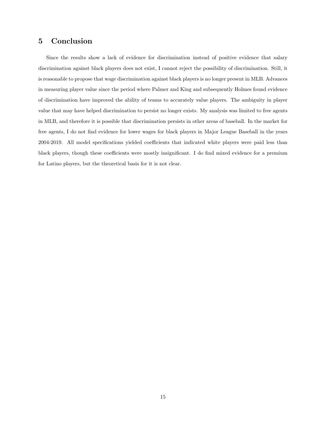## 5 Conclusion

Since the results show a lack of evidence for discrimination instead of positive evidence that salary discrimination against black players does not exist, I cannot reject the possibility of discrimination. Still, it is reasonable to propose that wage discrimination against black players is no longer present in MLB. Advances in measuring player value since the period where Palmer and King and subsequently Holmes found evidence of discrimination have improved the ability of teams to accurately value players. The ambiguity in player value that may have helped discrimination to persist no longer exists. My analysis was limited to free agents in MLB, and therefore it is possible that discrimination persists in other areas of baseball. In the market for free agents, I do not find evidence for lower wages for black players in Major League Baseball in the years 2004-2019. All model specifications yielded coefficients that indicated white players were paid less than black players, though these coefficients were mostly insignificant. I do find mixed evidence for a premium for Latino players, but the theoretical basis for it is not clear.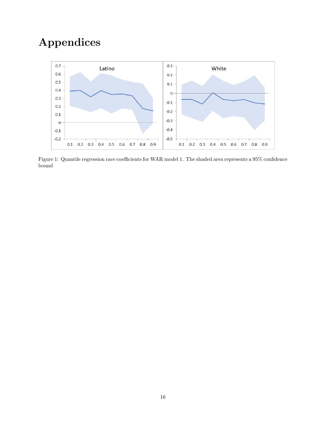## Appendices



Figure 1: Quantile regression race coefficients for WAR model 1. The shaded area represents a 95% confidence bound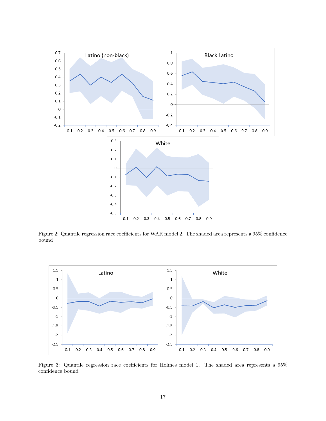

Figure 2: Quantile regression race coefficients for WAR model 2. The shaded area represents a 95% confidence bound



Figure 3: Quantile regression race coefficients for Holmes model 1. The shaded area represents a 95% confidence bound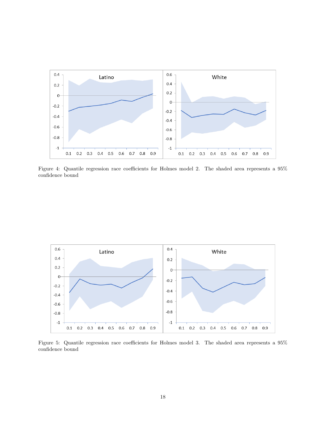

Figure 4: Quantile regression race coefficients for Holmes model 2. The shaded area represents a 95% confidence bound



Figure 5: Quantile regression race coefficients for Holmes model 3. The shaded area represents a 95% confidence bound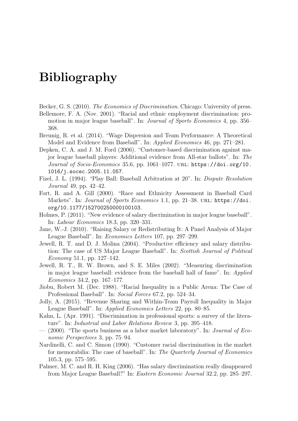# Bibliography

- Becker, G. S. (2010). The Economics of Discrimination. Chicago: University of press.
- Bellemore, F. A. (Nov. 2001). "Racial and ethnic employment discrimination: promotion in major league baseball". In: Journal of Sports Economics 4, pp. 356– 368.
- Breunig, R. et al. (2014). "Wage Dispersion and Team Performance: A Theoretical Model and Evidence from Baseball". In: Applied Economics 46, pp. 271–281.
- Depken, C. A. and J. M. Ford (2006). "Customer-based discrimination against major league baseball players: Additional evidence from All-star ballots". In: The Journal of Socio-Economics 35.6, pp. 1061–1077. URL: https://doi.org/10. 1016/j.socec.2005.11.057.
- Fizel, J. L. (1994). "Play Ball: Baseball Arbitration at 20". In: Dispute Resolution Journal 49, pp. 42–42.
- Fort, R. and A. Gill (2000). "Race and Ethnicity Assessment in Baseball Card Markets". In: *Journal of Sports Economics* 1.1, pp. 21–38. URL: https://doi. org/10.1177/152700250000100103.
- Holmes, P. (2011). "New evidence of salary discrimination in major league baseball". In: Labour Economics 18.3, pp. 320–331.
- Jane, W.-J. (2010). "Raising Salary or Redistributing It: A Panel Analysis of Major League Baseball". In: Economics Letters 107, pp. 297–299.
- Jewell, R. T. and D. J. Molina (2004). "Productive efficiency and salary distribution: The case of US Major League Baseball". In: Scottish Journal of Political Economy 51.1, pp. 127–142.
- Jewell, R. T., R. W. Brown, and S. E. Miles (2002). "Measuring discrimination in major league baseball: evidence from the baseball hall of fame". In: Applied Economics 34.2, pp. 167–177.
- Jiobu, Robert M. (Dec. 1988). "Racial Inequality in a Public Arena: The Case of Professional Baseball". In: Social Forces 67.2, pp. 524–34.
- Jolly, A. (2015). "Revenue Sharing and Within-Team Payroll Inequality in Major League Baseball". In: Applied Economics Letters 22, pp. 80–85.
- Kahn, L. (Apr. 1991). "Discrimination in professional sports: a survey of the literature". In: Industrial and Labor Relations Review 3, pp. 395–418.
- $(2000)$ . "The sports business as a labor market laboratory". In: *Journal of Eco*nomic Perspectives 3, pp. 75–94.
- Nardinelli, C. and C. Simon (1990). "Customer racial discrimination in the market for memorabilia: The case of baseball". In: The Quarterly Journal of Economics 105.3, pp. 575–595.
- Palmer, M. C. and R. H. King (2006). "Has salary discrimination really disappeared from Major League Baseball?" In: Eastern Economic Journal 32.2, pp. 285–297.